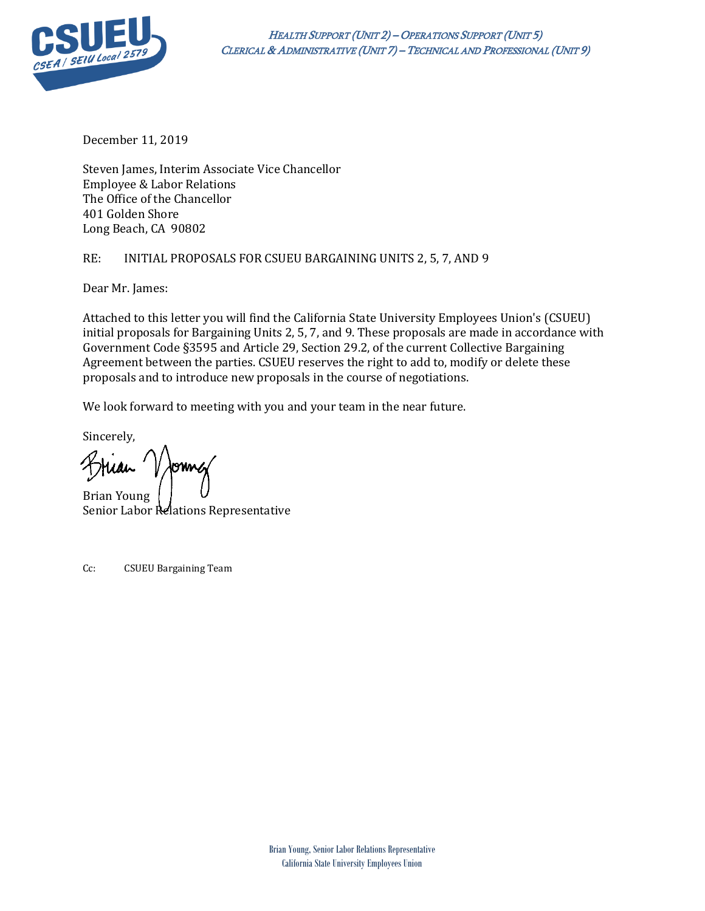

December 11, 2019

Steven James, Interim Associate Vice Chancellor Employee & Labor Relations The Office of the Chancellor 401 Golden Shore Long Beach, CA 90802

## RE: INITIAL PROPOSALS FOR CSUEU BARGAINING UNITS 2, 5, 7, AND 9

Dear Mr. James:

Attached to this letter you will find the California State University Employees Union's (CSUEU) initial proposals for Bargaining Units 2, 5, 7, and 9. These proposals are made in accordance with Government Code §3595 and Article 29, Section 29.2, of the current Collective Bargaining Agreement between the parties. CSUEU reserves the right to add to, modify or delete these proposals and to introduce new proposals in the course of negotiations.

We look forward to meeting with you and your team in the near future.

Sincerely,

Brian Young Senior Labor Relations Representative

Cc: CSUEU Bargaining Team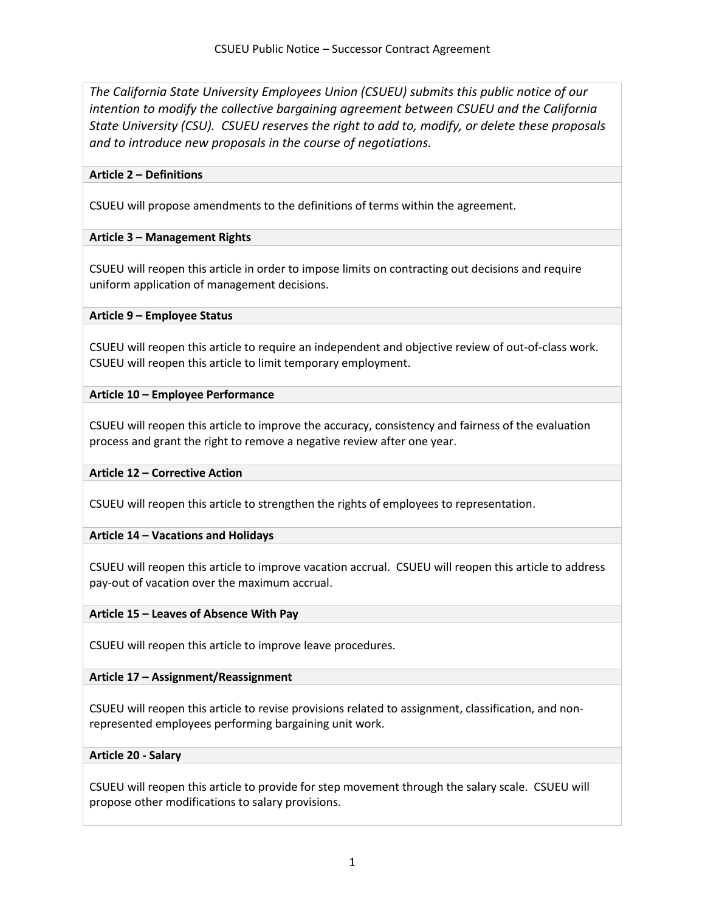*The California State University Employees Union (CSUEU) submits this public notice of our intention to modify the collective bargaining agreement between CSUEU and the California State University (CSU). CSUEU reserves the right to add to, modify, or delete these proposals and to introduce new proposals in the course of negotiations.*

## **Article 2 – Definitions**

CSUEU will propose amendments to the definitions of terms within the agreement.

## **Article 3 – Management Rights**

CSUEU will reopen this article in order to impose limits on contracting out decisions and require uniform application of management decisions.

## **Article 9 – Employee Status**

CSUEU will reopen this article to require an independent and objective review of out-of-class work. CSUEU will reopen this article to limit temporary employment.

## **Article 10 – Employee Performance**

CSUEU will reopen this article to improve the accuracy, consistency and fairness of the evaluation process and grant the right to remove a negative review after one year.

#### **Article 12 – Corrective Action**

CSUEU will reopen this article to strengthen the rights of employees to representation.

#### **Article 14 – Vacations and Holidays**

CSUEU will reopen this article to improve vacation accrual. CSUEU will reopen this article to address pay-out of vacation over the maximum accrual.

#### **Article 15 – Leaves of Absence With Pay**

CSUEU will reopen this article to improve leave procedures.

#### **Article 17 – Assignment/Reassignment**

CSUEU will reopen this article to revise provisions related to assignment, classification, and nonrepresented employees performing bargaining unit work.

#### **Article 20 - Salary**

CSUEU will reopen this article to provide for step movement through the salary scale. CSUEU will propose other modifications to salary provisions.